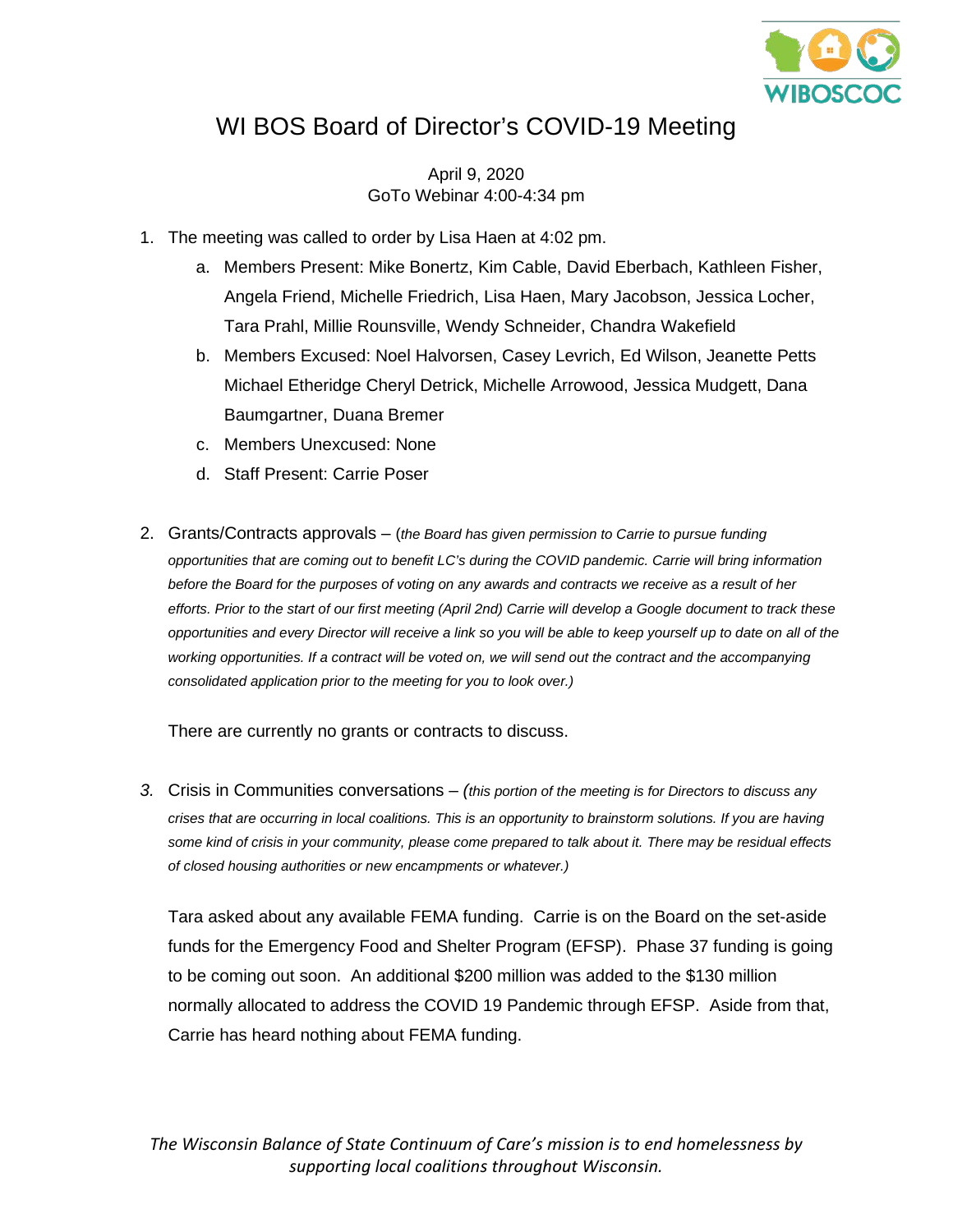

## WI BOS Board of Director's COVID-19 Meeting

April 9, 2020 GoTo Webinar 4:00-4:34 pm

- 1. The meeting was called to order by Lisa Haen at 4:02 pm.
	- a. Members Present: Mike Bonertz, Kim Cable, David Eberbach, Kathleen Fisher, Angela Friend, Michelle Friedrich, Lisa Haen, Mary Jacobson, Jessica Locher, Tara Prahl, Millie Rounsville, Wendy Schneider, Chandra Wakefield
	- b. Members Excused: Noel Halvorsen, Casey Levrich, Ed Wilson, Jeanette Petts Michael Etheridge Cheryl Detrick, Michelle Arrowood, Jessica Mudgett, Dana Baumgartner, Duana Bremer
	- c. Members Unexcused: None
	- d. Staff Present: Carrie Poser
- 2. Grants/Contracts approvals (*the Board has given permission to Carrie to pursue funding opportunities that are coming out to benefit LC's during the COVID pandemic. Carrie will bring information before the Board for the purposes of voting on any awards and contracts we receive as a result of her efforts. Prior to the start of our first meeting (April 2nd) Carrie will develop a Google document to track these opportunities and every Director will receive a link so you will be able to keep yourself up to date on all of the working opportunities. If a contract will be voted on, we will send out the contract and the accompanying consolidated application prior to the meeting for you to look over.)*

There are currently no grants or contracts to discuss.

*3.* Crisis in Communities conversations – *(this portion of the meeting is for Directors to discuss any crises that are occurring in local coalitions. This is an opportunity to brainstorm solutions. If you are having some kind of crisis in your community, please come prepared to talk about it. There may be residual effects of closed housing authorities or new encampments or whatever.)*

Tara asked about any available FEMA funding. Carrie is on the Board on the set-aside funds for the Emergency Food and Shelter Program (EFSP). Phase 37 funding is going to be coming out soon. An additional \$200 million was added to the \$130 million normally allocated to address the COVID 19 Pandemic through EFSP. Aside from that, Carrie has heard nothing about FEMA funding.

*The Wisconsin Balance of State Continuum of Care's mission is to end homelessness by supporting local coalitions throughout Wisconsin.*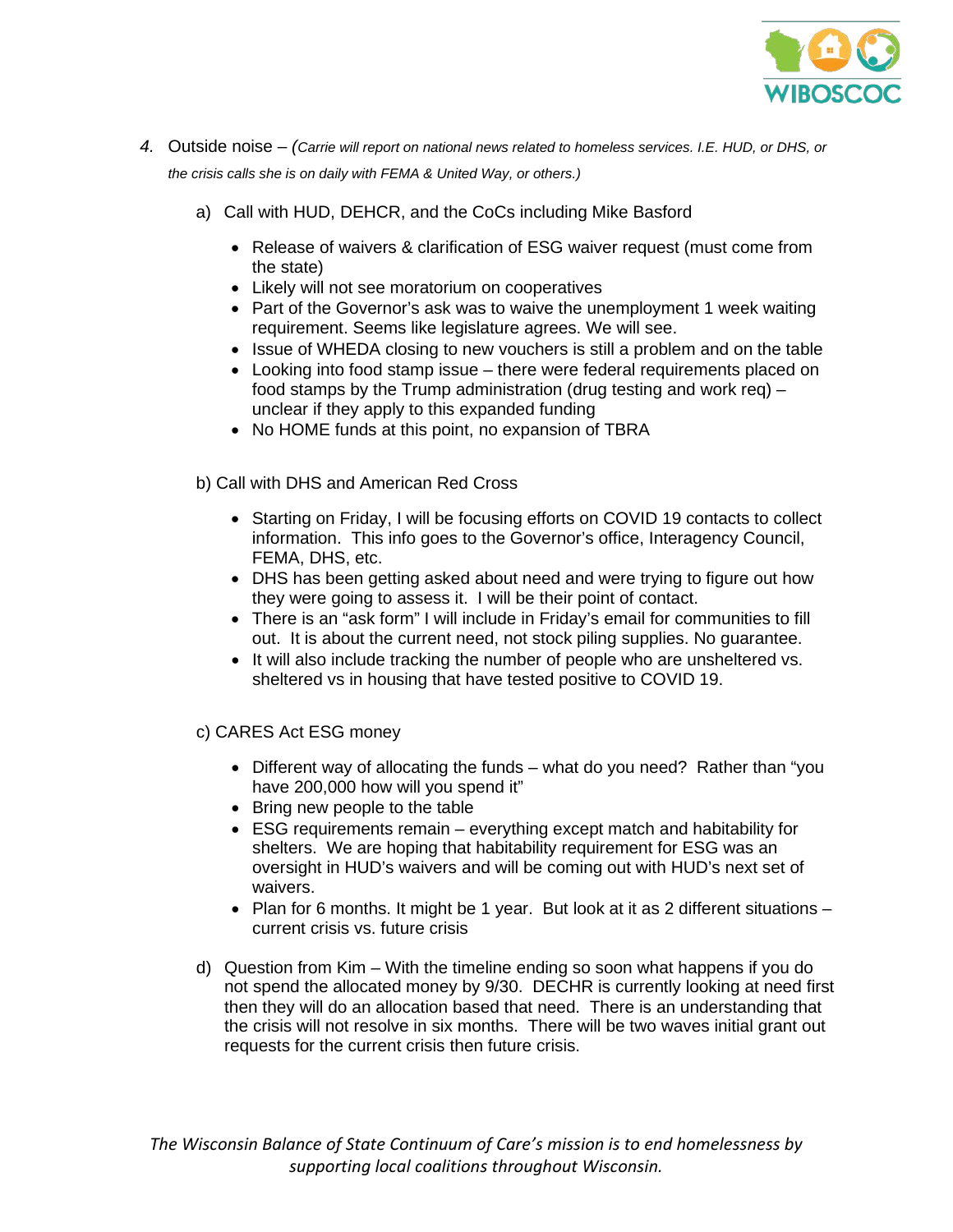

- *4.* Outside noise *(Carrie will report on national news related to homeless services. I.E. HUD, or DHS, or the crisis calls she is on daily with FEMA & United Way, or others.)*
	- a) Call with HUD, DEHCR, and the CoCs including Mike Basford
		- Release of waivers & clarification of ESG waiver request (must come from the state)
		- Likely will not see moratorium on cooperatives
		- Part of the Governor's ask was to waive the unemployment 1 week waiting requirement. Seems like legislature agrees. We will see.
		- Issue of WHEDA closing to new vouchers is still a problem and on the table
		- Looking into food stamp issue there were federal requirements placed on food stamps by the Trump administration (drug testing and work req) – unclear if they apply to this expanded funding
		- No HOME funds at this point, no expansion of TBRA
	- b) Call with DHS and American Red Cross
		- Starting on Friday, I will be focusing efforts on COVID 19 contacts to collect information. This info goes to the Governor's office, Interagency Council, FEMA, DHS, etc.
		- DHS has been getting asked about need and were trying to figure out how they were going to assess it. I will be their point of contact.
		- There is an "ask form" I will include in Friday's email for communities to fill out. It is about the current need, not stock piling supplies. No guarantee.
		- It will also include tracking the number of people who are unsheltered vs. sheltered vs in housing that have tested positive to COVID 19.

c) CARES Act ESG money

- Different way of allocating the funds what do you need? Rather than "you have 200,000 how will you spend it"
- Bring new people to the table
- ESG requirements remain everything except match and habitability for shelters. We are hoping that habitability requirement for ESG was an oversight in HUD's waivers and will be coming out with HUD's next set of waivers.
- Plan for 6 months. It might be 1 year. But look at it as 2 different situations current crisis vs. future crisis
- d) Question from Kim With the timeline ending so soon what happens if you do not spend the allocated money by 9/30. DECHR is currently looking at need first then they will do an allocation based that need. There is an understanding that the crisis will not resolve in six months. There will be two waves initial grant out requests for the current crisis then future crisis.